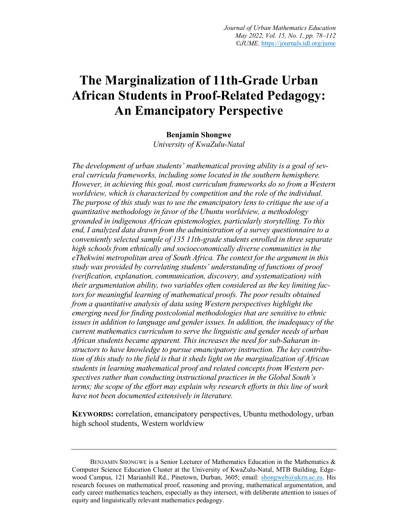# **The Marginalization of 11th-Grade Urban African Students in Proof-Related Pedagogy: An Emancipatory Perspective**

### **Benjamin Shongwe**

*University of KwaZulu-Natal*

*The development of urban students' mathematical proving ability is a goal of several curricula frameworks, including some located in the southern hemisphere. However, in achieving this goal, most curriculum frameworks do so from a Western worldview, which is characterized by competition and the role of the individual. The purpose of this study was to use the emancipatory lens to critique the use of a quantitative methodology in favor of the Ubuntu worldview, a methodology grounded in indigenous African epistemologies, particularly storytelling. To this end, I analyzed data drawn from the administration of a survey questionnaire to a conveniently selected sample of 135 11th-grade students enrolled in three separate high schools from ethnically and socioeconomically diverse communities in the eThekwini metropolitan area of South Africa. The context for the argument in this study was provided by correlating students' understanding of functions of proof (verification, explanation, communication, discovery, and systematization) with their argumentation ability, two variables often considered as the key limiting factors for meaningful learning of mathematical proofs. The poor results obtained from a quantitative analysis of data using Western perspectives highlight the emerging need for finding postcolonial methodologies that are sensitive to ethnic issues in addition to language and gender issues. In addition, the inadequacy of the current mathematics curriculum to serve the linguistic and gender needs of urban African students became apparent. This increases the need for sub-Saharan instructors to have knowledge to pursue emancipatory instruction. The key contribution of this study to the field is that it sheds light on the marginalization of African students in learning mathematical proof and related concepts from Western perspectives rather than conducting instructional practices in the Global South's terms; the scope of the effort may explain why research efforts in this line of work have not been documented extensively in literature.*

**KEYWORDS:** correlation, emancipatory perspectives, Ubuntu methodology, urban high school students, Western worldview

BENJAMIN SHONGWE is a Senior Lecturer of Mathematics Education in the Mathematics & Computer Science Education Cluster at the University of KwaZulu-Natal, MTB Building, Edgewood Campus, 121 Marianhill Rd., Pinetown, Durban, 3605; email: shongweb@ukzn.ac.za. His research focuses on mathematical proof, reasoning and proving, mathematical argumentation, and early career mathematics teachers, especially as they intersect, with deliberate attention to issues of equity and linguistically relevant mathematics pedagogy.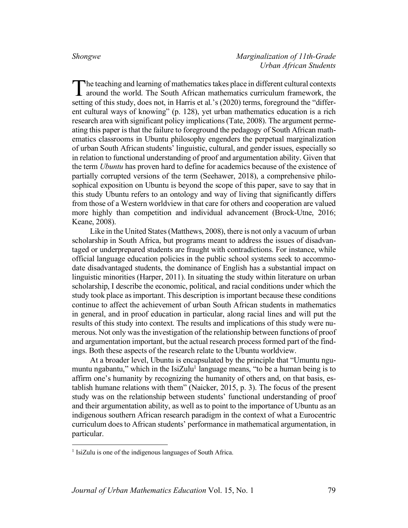he teaching and learning of mathematics takes place in different cultural contexts The teaching and learning of mathematics takes place in different cultural contexts around the world. The South African mathematics curriculum framework, the setting of this study, does not, in Harris et al.'s (2020) terms, foreground the "different cultural ways of knowing" (p. 128), yet urban mathematics education is a rich research area with significant policy implications (Tate, 2008). The argument permeating this paper is that the failure to foreground the pedagogy of South African mathematics classrooms in Ubuntu philosophy engenders the perpetual marginalization of urban South African students' linguistic, cultural, and gender issues, especially so in relation to functional understanding of proof and argumentation ability. Given that the term *Ubuntu* has proven hard to define for academics because of the existence of partially corrupted versions of the term (Seehawer, 2018), a comprehensive philosophical exposition on Ubuntu is beyond the scope of this paper, save to say that in this study Ubuntu refers to an ontology and way of living that significantly differs from those of a Western worldview in that care for others and cooperation are valued more highly than competition and individual advancement (Brock-Utne, 2016; Keane, 2008).

Like in the United States (Matthews, 2008), there is not only a vacuum of urban scholarship in South Africa, but programs meant to address the issues of disadvantaged or underprepared students are fraught with contradictions. For instance, while official language education policies in the public school systems seek to accommodate disadvantaged students, the dominance of English has a substantial impact on linguistic minorities (Harper, 2011). In situating the study within literature on urban scholarship, I describe the economic, political, and racial conditions under which the study took place as important. This description is important because these conditions continue to affect the achievement of urban South African students in mathematics in general, and in proof education in particular, along racial lines and will put the results of this study into context. The results and implications of this study were numerous. Not only was the investigation of the relationship between functions of proof and argumentation important, but the actual research process formed part of the findings. Both these aspects of the research relate to the Ubuntu worldview.

At a broader level, Ubuntu is encapsulated by the principle that "Umuntu ngumuntu ngabantu," which in the IsiZulu<sup>1</sup> language means, "to be a human being is to affirm one's humanity by recognizing the humanity of others and, on that basis, establish humane relations with them" (Naicker, 2015, p. 3). The focus of the present study was on the relationship between students' functional understanding of proof and their argumentation ability, as well as to point to the importance of Ubuntu as an indigenous southern African research paradigm in the context of what a Eurocentric curriculum does to African students' performance in mathematical argumentation, in particular.

<sup>&</sup>lt;sup>1</sup> IsiZulu is one of the indigenous languages of South Africa.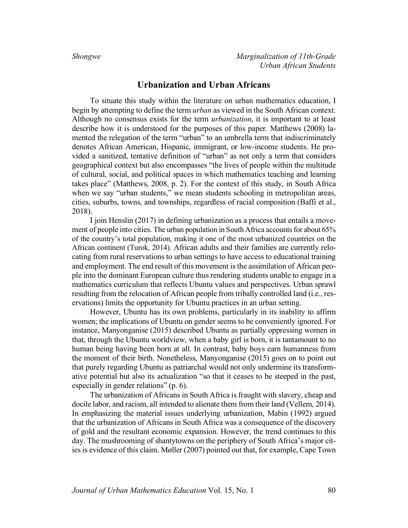### **Urbanization and Urban Africans**

To situate this study within the literature on urban mathematics education, I begin by attempting to define the term *urban* as viewed in the South African context. Although no consensus exists for the term *urbanization*, it is important to at least describe how it is understood for the purposes of this paper. Matthews (2008) lamented the relegation of the term "urban" to an umbrella term that indiscriminately denotes African American, Hispanic, immigrant, or low-income students. He provided a sanitized, tentative definition of "urban" as not only a term that considers geographical context but also encompasses "the lives of people within the multitude of cultural, social, and political spaces in which mathematics teaching and learning takes place" (Matthews, 2008, p. 2). For the context of this study, in South Africa when we say "urban students," we mean students schooling in metropolitan areas, cities, suburbs, towns, and townships, regardless of racial composition (Baffi et al., 2018).

I join Henslin (2017) in defining urbanization as a process that entails a movement of people into cities. The urban population in South Africa accounts for about 65% of the country's total population, making it one of the most urbanized countries on the African continent (Turok, 2014). African adults and their families are currently relocating from rural reservations to urban settings to have access to educational training and employment. The end result of this movement is the assimilation of African people into the dominant European culture thus rendering students unable to engage in a mathematics curriculum that reflects Ubuntu values and perspectives. Urban sprawl resulting from the relocation of African people from tribally controlled land (i.e., reservations) limits the opportunity for Ubuntu practices in an urban setting.

However, Ubuntu has its own problems, particularly in its inability to affirm women; the implications of Ubuntu on gender seems to be conveniently ignored. For instance, Manyonganise (2015) described Ubuntu as partially oppressing women in that, through the Ubuntu worldview, when a baby girl is born, it is tantamount to no human being having been born at all. In contrast, baby boys earn humanness from the moment of their birth. Nonetheless, Manyonganise (2015) goes on to point out that purely regarding Ubuntu as patriarchal would not only undermine its transformative potential but also its actualization "so that it ceases to be steeped in the past, especially in gender relations" (p. 6).

The urbanization of Africans in South Africa is fraught with slavery, cheap and docile labor, and racism, all intended to alienate them from their land (Vellem, 2014). In emphasizing the material issues underlying urbanization, Mabin (1992) argued that the urbanization of Africans in South Africa was a consequence of the discovery of gold and the resultant economic expansion. However, the trend continues to this day. The mushrooming of shantytowns on the periphery of South Africa's major cities is evidence of this claim. Møller (2007) pointed out that, for example, Cape Town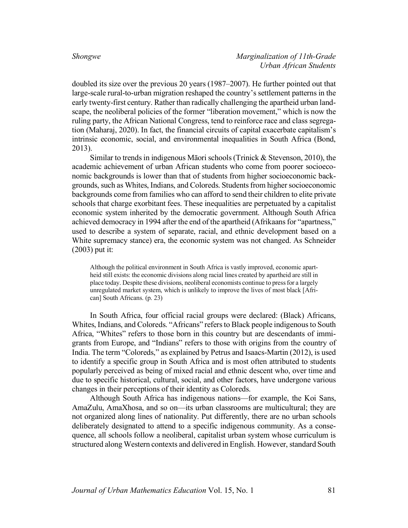doubled its size over the previous 20 years (1987–2007). He further pointed out that large-scale rural-to-urban migration reshaped the country's settlement patterns in the early twenty-first century. Rather than radically challenging the apartheid urban landscape, the neoliberal policies of the former "liberation movement," which is now the ruling party, the African National Congress, tend to reinforce race and class segregation (Maharaj, 2020). In fact, the financial circuits of capital exacerbate capitalism's intrinsic economic, social, and environmental inequalities in South Africa (Bond, 2013).

Similar to trends in indigenous Māori schools (Trinick & Stevenson, 2010), the academic achievement of urban African students who come from poorer socioeconomic backgrounds is lower than that of students from higher socioeconomic backgrounds, such as Whites, Indians, and Coloreds. Studentsfrom higher socioeconomic backgrounds come from families who can afford to send their children to elite private schools that charge exorbitant fees. These inequalities are perpetuated by a capitalist economic system inherited by the democratic government. Although South Africa achieved democracy in 1994 after the end of the apartheid (Afrikaans for "apartness," used to describe a system of separate, racial, and ethnic development based on a White supremacy stance) era, the economic system was not changed. As Schneider (2003) put it:

Although the political environment in South Africa is vastly improved, economic apartheid still exists: the economic divisions along racial lines created by apartheid are still in place today. Despite these divisions, neoliberal economists continue to press for a largely unregulated market system, which is unlikely to improve the lives of most black [African] South Africans. (p. 23)

In South Africa, four official racial groups were declared: (Black) Africans, Whites, Indians, and Coloreds. "Africans" refers to Black people indigenous to South Africa, "Whites" refers to those born in this country but are descendants of immigrants from Europe, and "Indians" refers to those with origins from the country of India. The term "Coloreds," as explained by Petrus and Isaacs-Martin (2012), is used to identify a specific group in South Africa and is most often attributed to students popularly perceived as being of mixed racial and ethnic descent who, over time and due to specific historical, cultural, social, and other factors, have undergone various changes in their perceptions of their identity as Coloreds.

Although South Africa has indigenous nations—for example, the Koi Sans, AmaZulu, AmaXhosa, and so on—its urban classrooms are multicultural; they are not organized along lines of nationality. Put differently, there are no urban schools deliberately designated to attend to a specific indigenous community. As a consequence, all schools follow a neoliberal, capitalist urban system whose curriculum is structured along Western contexts and delivered in English. However, standard South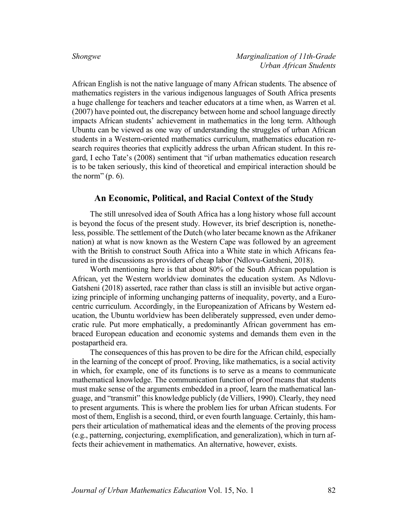African English is not the native language of many African students. The absence of mathematics registers in the various indigenous languages of South Africa presents a huge challenge for teachers and teacher educators at a time when, as Warren et al. (2007) have pointed out, the discrepancy between home and school language directly impacts African students' achievement in mathematics in the long term. Although Ubuntu can be viewed as one way of understanding the struggles of urban African students in a Western-oriented mathematics curriculum, mathematics education research requires theories that explicitly address the urban African student. In this regard, I echo Tate's (2008) sentiment that "if urban mathematics education research is to be taken seriously, this kind of theoretical and empirical interaction should be the norm"  $(p. 6)$ .

# **An Economic, Political, and Racial Context of the Study**

The still unresolved idea of South Africa has a long history whose full account is beyond the focus of the present study. However, its brief description is, nonetheless, possible. The settlement of the Dutch (who later became known as the Afrikaner nation) at what is now known as the Western Cape was followed by an agreement with the British to construct South Africa into a White state in which Africans featured in the discussions as providers of cheap labor (Ndlovu-Gatsheni, 2018).

Worth mentioning here is that about 80% of the South African population is African, yet the Western worldview dominates the education system. As Ndlovu-Gatsheni (2018) asserted, race rather than class is still an invisible but active organizing principle of informing unchanging patterns of inequality, poverty, and a Eurocentric curriculum. Accordingly, in the Europeanization of Africans by Western education, the Ubuntu worldview has been deliberately suppressed, even under democratic rule. Put more emphatically, a predominantly African government has embraced European education and economic systems and demands them even in the postapartheid era.

The consequences of this has proven to be dire for the African child, especially in the learning of the concept of proof. Proving, like mathematics, is a social activity in which, for example, one of its functions is to serve as a means to communicate mathematical knowledge. The communication function of proof means that students must make sense of the arguments embedded in a proof, learn the mathematical language, and "transmit" this knowledge publicly (de Villiers, 1990). Clearly, they need to present arguments. This is where the problem lies for urban African students. For most of them, English is a second, third, or even fourth language. Certainly, this hampers their articulation of mathematical ideas and the elements of the proving process (e.g., patterning, conjecturing, exemplification, and generalization), which in turn affects their achievement in mathematics. An alternative, however, exists.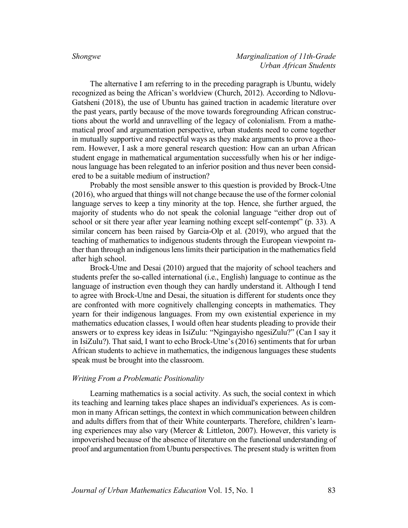The alternative I am referring to in the preceding paragraph is Ubuntu, widely recognized as being the African's worldview (Church, 2012). According to Ndlovu-Gatsheni (2018), the use of Ubuntu has gained traction in academic literature over the past years, partly because of the move towards foregrounding African constructions about the world and unravelling of the legacy of colonialism. From a mathematical proof and argumentation perspective, urban students need to come together in mutually supportive and respectful ways as they make arguments to prove a theorem. However, I ask a more general research question: How can an urban African student engage in mathematical argumentation successfully when his or her indigenous language has been relegated to an inferior position and thus never been considered to be a suitable medium of instruction?

Probably the most sensible answer to this question is provided by Brock-Utne (2016), who argued that things will not change because the use of the former colonial language serves to keep a tiny minority at the top. Hence, she further argued, the majority of students who do not speak the colonial language "either drop out of school or sit there year after year learning nothing except self-contempt" (p. 33). A similar concern has been raised by Garcia-Olp et al. (2019), who argued that the teaching of mathematics to indigenous students through the European viewpoint rather than through an indigenous lens limits their participation in the mathematics field after high school.

Brock-Utne and Desai (2010) argued that the majority of school teachers and students prefer the so-called international (i.e., English) language to continue as the language of instruction even though they can hardly understand it. Although I tend to agree with Brock-Utne and Desai, the situation is different for students once they are confronted with more cognitively challenging concepts in mathematics. They yearn for their indigenous languages. From my own existential experience in my mathematics education classes, I would often hear students pleading to provide their answers or to express key ideas in IsiZulu: "Ngingayisho ngesiZulu?" (Can I say it in IsiZulu?). That said, I want to echo Brock-Utne's (2016) sentiments that for urban African students to achieve in mathematics, the indigenous languages these students speak must be brought into the classroom.

#### *Writing From a Problematic Positionality*

Learning mathematics is a social activity. As such, the social context in which its teaching and learning takes place shapes an individual's experiences. As is common in many African settings, the context in which communication between children and adults differs from that of their White counterparts. Therefore, children's learning experiences may also vary (Mercer & Littleton, 2007). However, this variety is impoverished because of the absence of literature on the functional understanding of proof and argumentation from Ubuntu perspectives. The present study is written from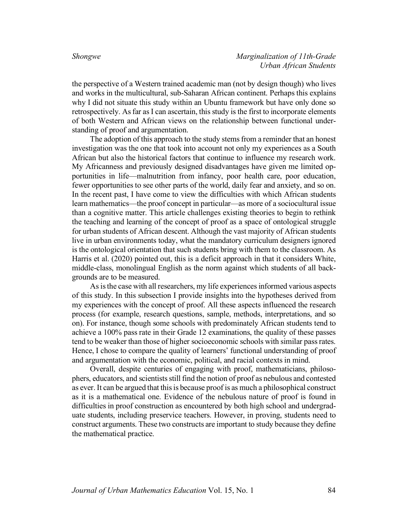the perspective of a Western trained academic man (not by design though) who lives and works in the multicultural, sub-Saharan African continent. Perhaps this explains why I did not situate this study within an Ubuntu framework but have only done so retrospectively. As far as I can ascertain, this study is the first to incorporate elements of both Western and African views on the relationship between functional understanding of proof and argumentation.

The adoption of this approach to the study stems from a reminder that an honest investigation was the one that took into account not only my experiences as a South African but also the historical factors that continue to influence my research work. My Africanness and previously designed disadvantages have given me limited opportunities in life—malnutrition from infancy, poor health care, poor education, fewer opportunities to see other parts of the world, daily fear and anxiety, and so on. In the recent past, I have come to view the difficulties with which African students learn mathematics—the proof concept in particular—as more of a sociocultural issue than a cognitive matter. This article challenges existing theories to begin to rethink the teaching and learning of the concept of proof as a space of ontological struggle for urban students of African descent. Although the vast majority of African students live in urban environments today, what the mandatory curriculum designers ignored is the ontological orientation that such students bring with them to the classroom. As Harris et al. (2020) pointed out, this is a deficit approach in that it considers White, middle-class, monolingual English as the norm against which students of all backgrounds are to be measured.

As is the case with all researchers, my life experiences informed various aspects of this study. In this subsection I provide insights into the hypotheses derived from my experiences with the concept of proof. All these aspects influenced the research process (for example, research questions, sample, methods, interpretations, and so on). For instance, though some schools with predominately African students tend to achieve a 100% pass rate in their Grade 12 examinations, the quality of these passes tend to be weaker than those of higher socioeconomic schools with similar pass rates. Hence, I chose to compare the quality of learners' functional understanding of proof and argumentation with the economic, political, and racial contexts in mind.

Overall, despite centuries of engaging with proof, mathematicians, philosophers, educators, and scientists still find the notion of proof as nebulous and contested as ever. It can be argued that this is because proof is as much a philosophical construct as it is a mathematical one. Evidence of the nebulous nature of proof is found in difficulties in proof construction as encountered by both high school and undergraduate students, including preservice teachers. However, in proving, students need to construct arguments. These two constructs are important to study because they define the mathematical practice.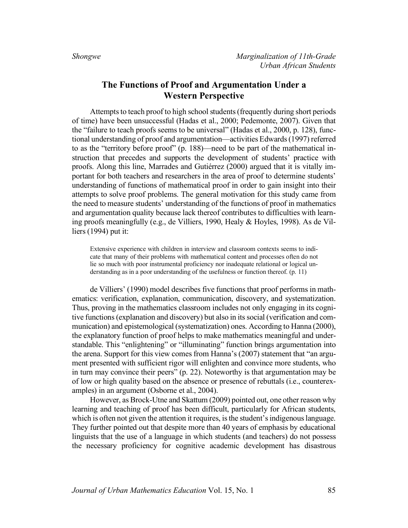# **The Functions of Proof and Argumentation Under a Western Perspective**

Attempts to teach proof to high school students (frequently during short periods of time) have been unsuccessful (Hadas et al., 2000; Pedemonte, 2007). Given that the "failure to teach proofs seems to be universal" (Hadas et al., 2000, p. 128), functional understanding of proof and argumentation—activities Edwards (1997) referred to as the "territory before proof" (p. 188)—need to be part of the mathematical instruction that precedes and supports the development of students' practice with proofs. Along this line, Marrades and Gutiérrez (2000) argued that it is vitally important for both teachers and researchers in the area of proof to determine students' understanding of functions of mathematical proof in order to gain insight into their attempts to solve proof problems. The general motivation for this study came from the need to measure students' understanding of the functions of proof in mathematics and argumentation quality because lack thereof contributes to difficulties with learning proofs meaningfully (e.g., de Villiers, 1990, Healy & Hoyles, 1998). As de Villiers (1994) put it:

Extensive experience with children in interview and classroom contexts seems to indicate that many of their problems with mathematical content and processes often do not lie so much with poor instrumental proficiency nor inadequate relational or logical understanding as in a poor understanding of the usefulness or function thereof. (p. 11)

de Villiers' (1990) model describes five functions that proof performs in mathematics: verification, explanation, communication, discovery, and systematization. Thus, proving in the mathematics classroom includes not only engaging in its cognitive functions (explanation and discovery) but also in its social (verification and communication) and epistemological (systematization) ones. According to Hanna (2000), the explanatory function of proof helps to make mathematics meaningful and understandable. This "enlightening" or "illuminating" function brings argumentation into the arena. Support for this view comes from Hanna's (2007) statement that "an argument presented with sufficient rigor will enlighten and convince more students, who in turn may convince their peers" (p. 22). Noteworthy is that argumentation may be of low or high quality based on the absence or presence of rebuttals (i.e., counterexamples) in an argument (Osborne et al., 2004).

However, as Brock-Utne and Skattum (2009) pointed out, one other reason why learning and teaching of proof has been difficult, particularly for African students, which is often not given the attention it requires, is the student's indigenous language. They further pointed out that despite more than 40 years of emphasis by educational linguists that the use of a language in which students (and teachers) do not possess the necessary proficiency for cognitive academic development has disastrous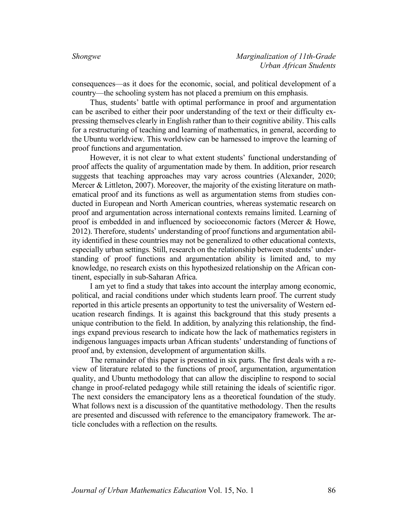consequences—as it does for the economic, social, and political development of a country—the schooling system has not placed a premium on this emphasis.

Thus, students' battle with optimal performance in proof and argumentation can be ascribed to either their poor understanding of the text or their difficulty expressing themselves clearly in English rather than to their cognitive ability. This calls for a restructuring of teaching and learning of mathematics, in general, according to the Ubuntu worldview. This worldview can be harnessed to improve the learning of proof functions and argumentation.

However, it is not clear to what extent students' functional understanding of proof affects the quality of argumentation made by them. In addition, prior research suggests that teaching approaches may vary across countries (Alexander, 2020; Mercer & Littleton, 2007). Moreover, the majority of the existing literature on mathematical proof and its functions as well as argumentation stems from studies conducted in European and North American countries, whereas systematic research on proof and argumentation across international contexts remains limited. Learning of proof is embedded in and influenced by socioeconomic factors (Mercer & Howe, 2012). Therefore, students' understanding of proof functions and argumentation ability identified in these countries may not be generalized to other educational contexts, especially urban settings. Still, research on the relationship between students' understanding of proof functions and argumentation ability is limited and, to my knowledge, no research exists on this hypothesized relationship on the African continent, especially in sub-Saharan Africa.

I am yet to find a study that takes into account the interplay among economic, political, and racial conditions under which students learn proof. The current study reported in this article presents an opportunity to test the universality of Western education research findings. It is against this background that this study presents a unique contribution to the field. In addition, by analyzing this relationship, the findings expand previous research to indicate how the lack of mathematics registers in indigenous languages impacts urban African students' understanding of functions of proof and, by extension, development of argumentation skills.

The remainder of this paper is presented in six parts. The first deals with a review of literature related to the functions of proof, argumentation, argumentation quality, and Ubuntu methodology that can allow the discipline to respond to social change in proof-related pedagogy while still retaining the ideals of scientific rigor. The next considers the emancipatory lens as a theoretical foundation of the study. What follows next is a discussion of the quantitative methodology. Then the results are presented and discussed with reference to the emancipatory framework. The article concludes with a reflection on the results.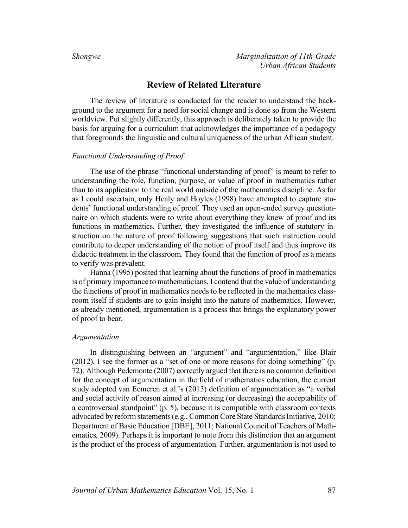# **Review of Related Literature**

The review of literature is conducted for the reader to understand the background to the argument for a need for social change and is done so from the Western worldview. Put slightly differently, this approach is deliberately taken to provide the basis for arguing for a curriculum that acknowledges the importance of a pedagogy that foregrounds the linguistic and cultural uniqueness of the urban African student.

### *Functional Understanding of Proof*

The use of the phrase "functional understanding of proof" is meant to refer to understanding the role, function, purpose, or value of proof in mathematics rather than to its application to the real world outside of the mathematics discipline. As far as I could ascertain, only Healy and Hoyles (1998) have attempted to capture students' functional understanding of proof. They used an open-ended survey questionnaire on which students were to write about everything they knew of proof and its functions in mathematics. Further, they investigated the influence of statutory instruction on the nature of proof following suggestions that such instruction could contribute to deeper understanding of the notion of proof itself and thus improve its didactic treatment in the classroom. They found that the function of proof as a means to verify was prevalent.

Hanna (1995) posited that learning about the functions of proof in mathematics is of primary importance to mathematicians. I contend that the value of understanding the functions of proof in mathematics needs to be reflected in the mathematics classroom itself if students are to gain insight into the nature of mathematics. However, as already mentioned, argumentation is a process that brings the explanatory power of proof to bear.

### *Argumentation*

In distinguishing between an "argument" and "argumentation," like Blair (2012), I see the former as a "set of one or more reasons for doing something" (p. 72). Although Pedemonte (2007) correctly argued that there is no common definition for the concept of argumentation in the field of mathematics education, the current study adopted van Eemeren et al.'s (2013) definition of argumentation as "a verbal and social activity of reason aimed at increasing (or decreasing) the acceptability of a controversial standpoint" (p. 5), because it is compatible with classroom contexts advocated by reform statements (e.g., Common Core State Standards Initiative, 2010; Department of Basic Education [DBE], 2011; National Council of Teachers of Mathematics, 2009). Perhaps it is important to note from this distinction that an argument is the product of the process of argumentation. Further, argumentation is not used to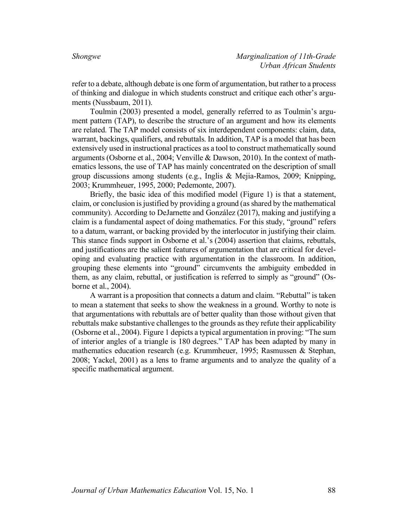refer to a debate, although debate is one form of argumentation, but rather to a process of thinking and dialogue in which students construct and critique each other's arguments (Nussbaum, 2011).

Toulmin (2003) presented a model, generally referred to as Toulmin's argument pattern (TAP), to describe the structure of an argument and how its elements are related. The TAP model consists of six interdependent components: claim, data, warrant, backings, qualifiers, and rebuttals. In addition, TAP is a model that has been extensively used in instructional practices as a tool to construct mathematically sound arguments (Osborne et al., 2004; Venville & Dawson, 2010). In the context of mathematics lessons, the use of TAP has mainly concentrated on the description of small group discussions among students (e.g., Inglis & Mejia-Ramos, 2009; Knipping, 2003; Krummheuer, 1995, 2000; Pedemonte, 2007).

Briefly, the basic idea of this modified model (Figure 1) is that a statement, claim, or conclusion is justified by providing a ground (as shared by the mathematical community). According to DeJarnette and González (2017), making and justifying a claim is a fundamental aspect of doing mathematics. For this study, "ground" refers to a datum, warrant, or backing provided by the interlocutor in justifying their claim. This stance finds support in Osborne et al.'s (2004) assertion that claims, rebuttals, and justifications are the salient features of argumentation that are critical for developing and evaluating practice with argumentation in the classroom. In addition, grouping these elements into "ground" circumvents the ambiguity embedded in them, as any claim, rebuttal, or justification is referred to simply as "ground" (Osborne et al., 2004).

A warrant is a proposition that connects a datum and claim. "Rebuttal" is taken to mean a statement that seeks to show the weakness in a ground. Worthy to note is that argumentations with rebuttals are of better quality than those without given that rebuttals make substantive challenges to the grounds as they refute their applicability (Osborne et al., 2004). Figure 1 depicts a typical argumentation in proving: "The sum of interior angles of a triangle is 180 degrees." TAP has been adapted by many in mathematics education research (e.g. Krummheuer, 1995; Rasmussen & Stephan, 2008; Yackel, 2001) as a lens to frame arguments and to analyze the quality of a specific mathematical argument.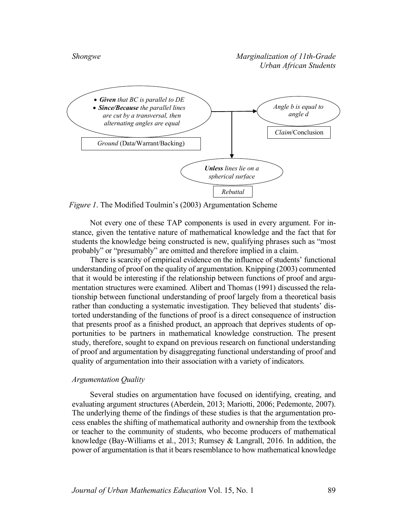

*Figure 1*. The Modified Toulmin's (2003) Argumentation Scheme

Not every one of these TAP components is used in every argument. For instance, given the tentative nature of mathematical knowledge and the fact that for students the knowledge being constructed is new, qualifying phrases such as "most probably" or "presumably" are omitted and therefore implied in a claim.

There is scarcity of empirical evidence on the influence of students' functional understanding of proof on the quality of argumentation. Knipping (2003) commented that it would be interesting if the relationship between functions of proof and argumentation structures were examined. Alibert and Thomas (1991) discussed the relationship between functional understanding of proof largely from a theoretical basis rather than conducting a systematic investigation. They believed that students' distorted understanding of the functions of proof is a direct consequence of instruction that presents proof as a finished product, an approach that deprives students of opportunities to be partners in mathematical knowledge construction. The present study, therefore, sought to expand on previous research on functional understanding of proof and argumentation by disaggregating functional understanding of proof and quality of argumentation into their association with a variety of indicators.

### *Argumentation Quality*

Several studies on argumentation have focused on identifying, creating, and evaluating argument structures (Aberdein, 2013; Mariotti, 2006; Pedemonte, 2007). The underlying theme of the findings of these studies is that the argumentation process enables the shifting of mathematical authority and ownership from the textbook or teacher to the community of students, who become producers of mathematical knowledge (Bay-Williams et al., 2013; Rumsey & Langrall, 2016. In addition, the power of argumentation is that it bears resemblance to how mathematical knowledge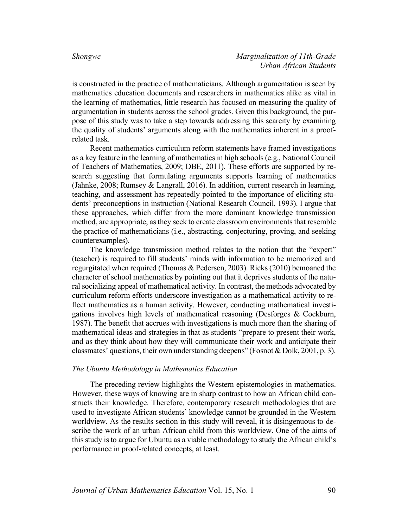is constructed in the practice of mathematicians. Although argumentation is seen by mathematics education documents and researchers in mathematics alike as vital in the learning of mathematics, little research has focused on measuring the quality of argumentation in students across the school grades. Given this background, the purpose of this study was to take a step towards addressing this scarcity by examining the quality of students' arguments along with the mathematics inherent in a proofrelated task.

Recent mathematics curriculum reform statements have framed investigations as a key feature in the learning of mathematics in high schools (e.g., National Council of Teachers of Mathematics, 2009; DBE, 2011). These efforts are supported by research suggesting that formulating arguments supports learning of mathematics (Jahnke, 2008; Rumsey & Langrall, 2016). In addition, current research in learning, teaching, and assessment has repeatedly pointed to the importance of eliciting students' preconceptions in instruction (National Research Council, 1993). I argue that these approaches, which differ from the more dominant knowledge transmission method, are appropriate, as they seek to create classroom environments that resemble the practice of mathematicians (i.e., abstracting, conjecturing, proving, and seeking counterexamples).

The knowledge transmission method relates to the notion that the "expert" (teacher) is required to fill students' minds with information to be memorized and regurgitated when required (Thomas & Pedersen, 2003). Ricks (2010) bemoaned the character of school mathematics by pointing out that it deprives students of the natural socializing appeal of mathematical activity. In contrast, the methods advocated by curriculum reform efforts underscore investigation as a mathematical activity to reflect mathematics as a human activity. However, conducting mathematical investigations involves high levels of mathematical reasoning (Desforges & Cockburn, 1987). The benefit that accrues with investigations is much more than the sharing of mathematical ideas and strategies in that as students "prepare to present their work, and as they think about how they will communicate their work and anticipate their classmates' questions, their own understanding deepens" (Fosnot & Dolk, 2001, p. 3).

#### *The Ubuntu Methodology in Mathematics Education*

The preceding review highlights the Western epistemologies in mathematics. However, these ways of knowing are in sharp contrast to how an African child constructs their knowledge. Therefore, contemporary research methodologies that are used to investigate African students' knowledge cannot be grounded in the Western worldview. As the results section in this study will reveal, it is disingenuous to describe the work of an urban African child from this worldview. One of the aims of this study is to argue for Ubuntu as a viable methodology to study the African child's performance in proof-related concepts, at least.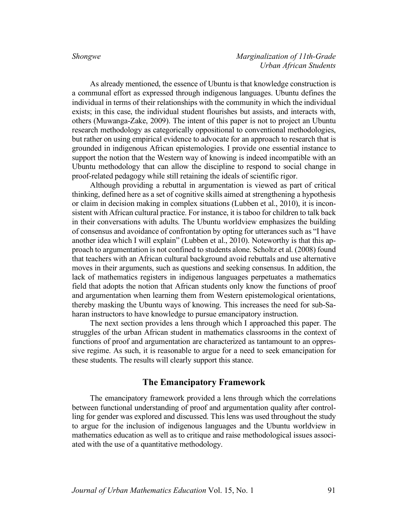As already mentioned, the essence of Ubuntu is that knowledge construction is a communal effort as expressed through indigenous languages. Ubuntu defines the individual in terms of their relationships with the community in which the individual exists; in this case, the individual student flourishes but assists, and interacts with, others (Muwanga-Zake, 2009). The intent of this paper is not to project an Ubuntu research methodology as categorically oppositional to conventional methodologies, but rather on using empirical evidence to advocate for an approach to research that is grounded in indigenous African epistemologies. I provide one essential instance to support the notion that the Western way of knowing is indeed incompatible with an Ubuntu methodology that can allow the discipline to respond to social change in proof-related pedagogy while still retaining the ideals of scientific rigor.

Although providing a rebuttal in argumentation is viewed as part of critical thinking, defined here as a set of cognitive skills aimed at strengthening a hypothesis or claim in decision making in complex situations (Lubben et al., 2010), it is inconsistent with African cultural practice. For instance, it is taboo for children to talk back in their conversations with adults. The Ubuntu worldview emphasizes the building of consensus and avoidance of confrontation by opting for utterances such as "I have another idea which I will explain" (Lubben et al., 2010). Noteworthy is that this approach to argumentation is not confined to students alone. Scholtz et al. (2008) found that teachers with an African cultural background avoid rebuttals and use alternative moves in their arguments, such as questions and seeking consensus. In addition, the lack of mathematics registers in indigenous languages perpetuates a mathematics field that adopts the notion that African students only know the functions of proof and argumentation when learning them from Western epistemological orientations, thereby masking the Ubuntu ways of knowing. This increases the need for sub-Saharan instructors to have knowledge to pursue emancipatory instruction.

The next section provides a lens through which I approached this paper. The struggles of the urban African student in mathematics classrooms in the context of functions of proof and argumentation are characterized as tantamount to an oppressive regime. As such, it is reasonable to argue for a need to seek emancipation for these students. The results will clearly support this stance.

# **The Emancipatory Framework**

The emancipatory framework provided a lens through which the correlations between functional understanding of proof and argumentation quality after controlling for gender was explored and discussed. This lens was used throughout the study to argue for the inclusion of indigenous languages and the Ubuntu worldview in mathematics education as well as to critique and raise methodological issues associated with the use of a quantitative methodology.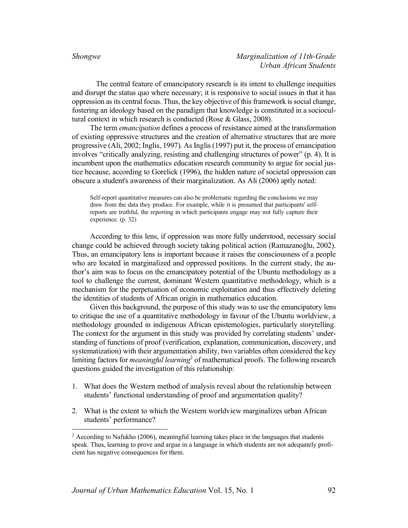The central feature of emancipatory research is its intent to challenge inequities and disrupt the status quo where necessary; it is responsive to social issues in that it has oppression as its central focus. Thus, the key objective of this framework is social change, fostering an ideology based on the paradigm that knowledge is constituted in a sociocultural context in which research is conducted (Rose & Glass, 2008).

The term *emancipation* defines a process of resistance aimed at the transformation of existing oppressive structures and the creation of alternative structures that are more progressive (Ali, 2002; Inglis, 1997). As Inglis (1997) put it, the process of emancipation involves "critically analyzing, resisting and challenging structures of power" (p. 4). It is incumbent upon the mathematics education research community to argue for social justice because, according to Gorelick (1996), the hidden nature of societal oppression can obscure a student's awareness of their marginalization. As Ali (2006) aptly noted:

Self-report quantitative measures can also be problematic regarding the conclusions we may draw from the data they produce. For example, while it is presumed that participants' selfreports are truthful, the reporting in which participants engage may not fully capture their experience. (p. 32)

According to this lens, if oppression was more fully understood, necessary social change could be achieved through society taking political action (Ramazanoğlu, 2002). Thus, an emancipatory lens is important because it raises the consciousness of a people who are located in marginalized and oppressed positions. In the current study, the author's aim was to focus on the emancipatory potential of the Ubuntu methodology as a tool to challenge the current, dominant Western quantitative methodology, which is a mechanism for the perpetuation of economic exploitation and thus effectively deleting the identities of students of African origin in mathematics education.

Given this background, the purpose of this study was to use the emancipatory lens to critique the use of a quantitative methodology in favour of the Ubuntu worldview, a methodology grounded in indigenous African epistemologies, particularly storytelling. The context for the argument in this study was provided by correlating students' understanding of functions of proof (verification, explanation, communication, discovery, and systematization) with their argumentation ability, two variables often considered the key limiting factors for *meaningful learning*<sup>2</sup> of mathematical proofs. The following research questions guided the investigation of this relationship:

- 1. What does the Western method of analysis reveal about the relationship between students' functional understanding of proof and argumentation quality?
- 2. What is the extent to which the Western worldview marginalizes urban African students' performance?

 $2$  According to Nafukho (2006), meaningful learning takes place in the languages that students speak. Thus, learning to prove and argue in a language in which students are not adequately proficient has negative consequences for them.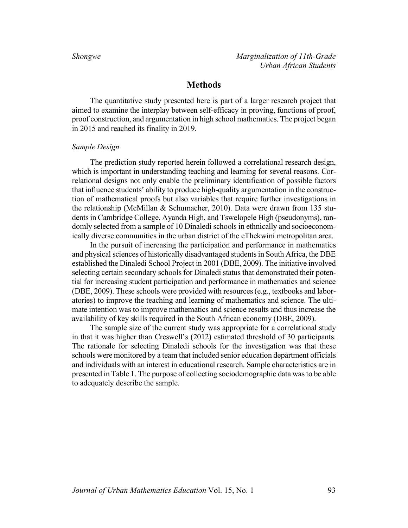# **Methods**

The quantitative study presented here is part of a larger research project that aimed to examine the interplay between self-efficacy in proving, functions of proof, proof construction, and argumentation in high school mathematics. The project began in 2015 and reached its finality in 2019.

### *Sample Design*

The prediction study reported herein followed a correlational research design, which is important in understanding teaching and learning for several reasons. Correlational designs not only enable the preliminary identification of possible factors that influence students' ability to produce high-quality argumentation in the construction of mathematical proofs but also variables that require further investigations in the relationship (McMillan & Schumacher, 2010). Data were drawn from 135 students in Cambridge College, Ayanda High, and Tswelopele High (pseudonyms), randomly selected from a sample of 10 Dinaledi schools in ethnically and socioeconomically diverse communities in the urban district of the eThekwini metropolitan area.

In the pursuit of increasing the participation and performance in mathematics and physical sciences of historically disadvantaged studentsin South Africa, the DBE established the Dinaledi School Project in 2001 (DBE, 2009). The initiative involved selecting certain secondary schools for Dinaledi status that demonstrated their potential for increasing student participation and performance in mathematics and science (DBE, 2009). These schools were provided with resources (e.g., textbooks and laboratories) to improve the teaching and learning of mathematics and science. The ultimate intention was to improve mathematics and science results and thus increase the availability of key skills required in the South African economy (DBE, 2009).

The sample size of the current study was appropriate for a correlational study in that it was higher than Creswell's (2012) estimated threshold of 30 participants. The rationale for selecting Dinaledi schools for the investigation was that these schools were monitored by a team that included senior education department officials and individuals with an interest in educational research. Sample characteristics are in presented in Table 1. The purpose of collecting sociodemographic data was to be able to adequately describe the sample.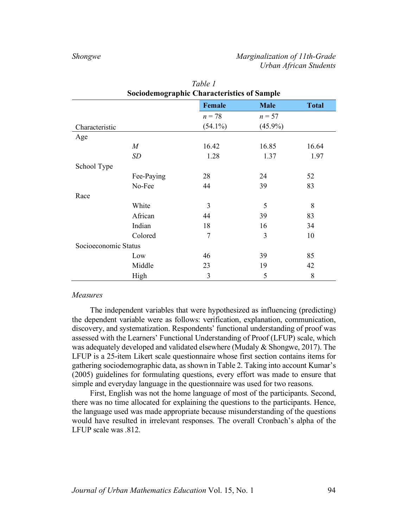| <b>Sociodemographic Characteristics of Sample</b> |                                              |            |            |       |  |  |  |
|---------------------------------------------------|----------------------------------------------|------------|------------|-------|--|--|--|
|                                                   | <b>Female</b><br><b>Male</b><br><b>Total</b> |            |            |       |  |  |  |
|                                                   |                                              | $n = 78$   | $n = 57$   |       |  |  |  |
| Characteristic                                    |                                              | $(54.1\%)$ | $(45.9\%)$ |       |  |  |  |
| Age                                               |                                              |            |            |       |  |  |  |
|                                                   | $\boldsymbol{M}$                             | 16.42      | 16.85      | 16.64 |  |  |  |
|                                                   | <b>SD</b>                                    | 1.28       | 1.37       | 1.97  |  |  |  |
| School Type                                       |                                              |            |            |       |  |  |  |
|                                                   | Fee-Paying                                   | 28         | 24         | 52    |  |  |  |
|                                                   | No-Fee                                       | 44         | 39         | 83    |  |  |  |
| Race                                              |                                              |            |            |       |  |  |  |
|                                                   | White                                        | 3          | 5          | 8     |  |  |  |
|                                                   | African                                      | 44         | 39         | 83    |  |  |  |
|                                                   | Indian                                       | 18         | 16         | 34    |  |  |  |
|                                                   | Colored                                      | 7          | 3          | 10    |  |  |  |
| Socioeconomic Status                              |                                              |            |            |       |  |  |  |
|                                                   | Low                                          | 46         | 39         | 85    |  |  |  |
|                                                   | Middle                                       | 23         | 19         | 42    |  |  |  |
|                                                   | High                                         | 3          | 5          | 8     |  |  |  |

| Table 1                                           |
|---------------------------------------------------|
| <b>Sociodemographic Characteristics of Sample</b> |

#### *Measures*

The independent variables that were hypothesized as influencing (predicting) the dependent variable were as follows: verification, explanation, communication, discovery, and systematization. Respondents' functional understanding of proof was assessed with the Learners' Functional Understanding of Proof (LFUP) scale, which was adequately developed and validated elsewhere (Mudaly & Shongwe, 2017). The LFUP is a 25-item Likert scale questionnaire whose first section contains items for gathering sociodemographic data, as shown in Table 2. Taking into account Kumar's (2005) guidelines for formulating questions, every effort was made to ensure that simple and everyday language in the questionnaire was used for two reasons.

First, English was not the home language of most of the participants. Second, there was no time allocated for explaining the questions to the participants. Hence, the language used was made appropriate because misunderstanding of the questions would have resulted in irrelevant responses. The overall Cronbach's alpha of the LFUP scale was .812.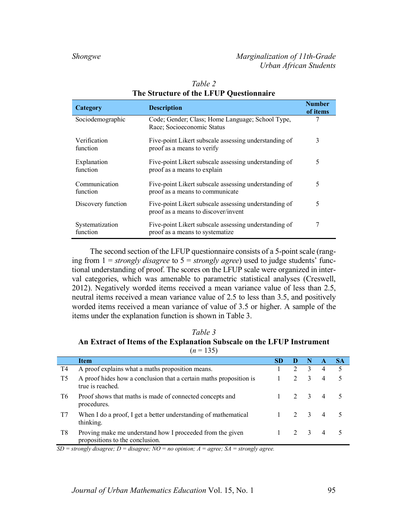| Category                    | <b>Description</b>                                                                           | <b>Number</b><br>of items |
|-----------------------------|----------------------------------------------------------------------------------------------|---------------------------|
| Sociodemographic            | Code; Gender; Class; Home Language; School Type,<br>Race; Socioeconomic Status               | 7                         |
| Verification<br>function    | Five-point Likert subscale assessing understanding of<br>proof as a means to verify          | 3                         |
| Explanation<br>function     | Five-point Likert subscale assessing understanding of<br>proof as a means to explain         | 5                         |
| Communication<br>function   | Five-point Likert subscale assessing understanding of<br>proof as a means to communicate     | 5                         |
| Discovery function          | Five-point Likert subscale assessing understanding of<br>proof as a means to discover/invent | 5                         |
| Systematization<br>function | Five-point Likert subscale assessing understanding of<br>proof as a means to systematize     | 7                         |

# *Table 2* **The Structure of the LFUP Questionnaire**

The second section of the LFUP questionnaire consists of a 5-point scale (ranging from 1 = *strongly disagree* to 5 = *strongly agree*) used to judge students' functional understanding of proof. The scores on the LFUP scale were organized in interval categories, which was amenable to parametric statistical analyses (Creswell, 2012). Negatively worded items received a mean variance value of less than 2.5, neutral items received a mean variance value of 2.5 to less than 3.5, and positively worded items received a mean variance of value of 3.5 or higher. A sample of the items under the explanation function is shown in Table 3.

### *Table 3* **An Extract of Items of the Explanation Subscale on the LFUP Instrument**   $(n = 135)$

|                | <b>Item</b>                                                                                  | <b>SD</b> | Ð            | N            |                | <b>SA</b> |
|----------------|----------------------------------------------------------------------------------------------|-----------|--------------|--------------|----------------|-----------|
| T4             | A proof explains what a maths proposition means.                                             |           | 2            | 3            | 4              | $\sim$    |
| T <sub>5</sub> | A proof hides how a conclusion that a certain maths proposition is<br>true is reached.       |           | 2            | 3            | $\overline{4}$ | 5         |
| T6             | Proof shows that maths is made of connected concepts and<br>procedures.                      |           |              | $2 \sqrt{3}$ | $\overline{4}$ | - 5       |
| T7             | When I do a proof, I get a better understanding of mathematical<br>thinking.                 |           | $2 \sqrt{3}$ |              | $\overline{4}$ |           |
| T8             | Proving make me understand how I proceeded from the given<br>propositions to the conclusion. |           |              |              | $\overline{4}$ |           |

*SD = strongly disagree; D = disagree; NO = no opinion; A = agree; SA = strongly agree.*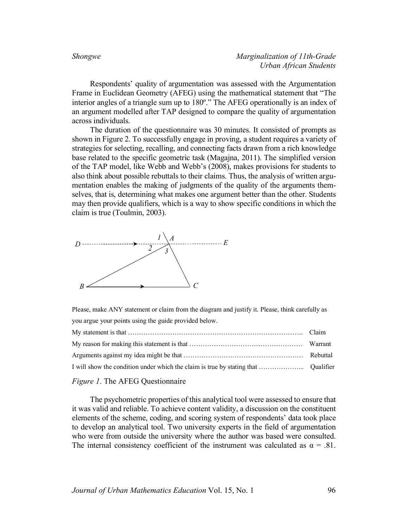Respondents' quality of argumentation was assessed with the Argumentation Frame in Euclidean Geometry (AFEG) using the mathematical statement that "The interior angles of a triangle sum up to 180º." The AFEG operationally is an index of an argument modelled after TAP designed to compare the quality of argumentation across individuals.

The duration of the questionnaire was 30 minutes. It consisted of prompts as shown in Figure 2. To successfully engage in proving, a student requires a variety of strategies for selecting, recalling, and connecting facts drawn from a rich knowledge base related to the specific geometric task (Magajna, 2011). The simplified version of the TAP model, like Webb and Webb's (2008), makes provisions for students to also think about possible rebuttals to their claims. Thus, the analysis of written argumentation enables the making of judgments of the quality of the arguments themselves, that is, determining what makes one argument better than the other. Students may then provide qualifiers, which is a way to show specific conditions in which the claim is true (Toulmin, 2003).



Please, make ANY statement or claim from the diagram and justify it. Please, think carefully as you argue your points using the guide provided below.

### *Figure 1*. The AFEG Questionnaire

The psychometric properties of this analytical tool were assessed to ensure that it was valid and reliable. To achieve content validity, a discussion on the constituent elements of the scheme, coding, and scoring system of respondents' data took place to develop an analytical tool. Two university experts in the field of argumentation who were from outside the university where the author was based were consulted. The internal consistency coefficient of the instrument was calculated as  $\alpha = .81$ .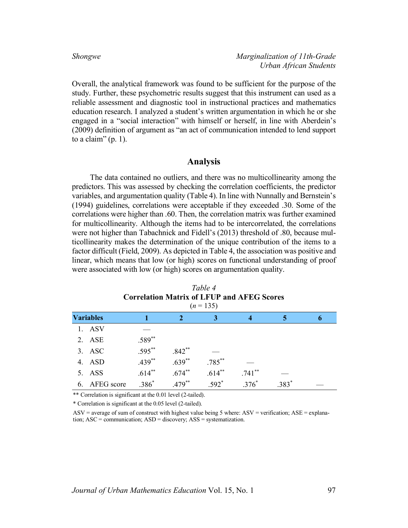Overall, the analytical framework was found to be sufficient for the purpose of the study. Further, these psychometric results suggest that this instrument can used as a reliable assessment and diagnostic tool in instructional practices and mathematics education research. I analyzed a student's written argumentation in which he or she engaged in a "social interaction" with himself or herself, in line with Aberdein's (2009) definition of argument as "an act of communication intended to lend support to a claim"  $(p. 1)$ .

# **Analysis**

The data contained no outliers, and there was no multicollinearity among the predictors. This was assessed by checking the correlation coefficients, the predictor variables, and argumentation quality (Table 4). In line with Nunnally and Bernstein's (1994) guidelines, correlations were acceptable if they exceeded .30. Some of the correlations were higher than .60. Then, the correlation matrix was further examined for multicollinearity. Although the items had to be intercorrelated, the correlations were not higher than Tabachnick and Fidell's (2013) threshold of .80, because multicollinearity makes the determination of the unique contribution of the items to a factor difficult (Field, 2009). As depicted in Table 4, the association was positive and linear, which means that low (or high) scores on functional understanding of proof were associated with low (or high) scores on argumentation quality.

|    | Correlation Matrix of Level and Afeg Scores<br>$(n = 135)$ |           |           |           |           |         |  |
|----|------------------------------------------------------------|-----------|-----------|-----------|-----------|---------|--|
|    | <b>Variables</b>                                           |           |           | 3         | 4         | 5       |  |
| 1. | <b>ASV</b>                                                 |           |           |           |           |         |  |
|    | 2. ASE                                                     | $.589**$  |           |           |           |         |  |
|    | $3.$ ASC                                                   | $.595***$ | $.842**$  |           |           |         |  |
|    | 4. ASD                                                     | $.439**$  | $.639**$  | $.785***$ |           |         |  |
| 5. | <b>ASS</b>                                                 | $.614***$ | $.674***$ | $.614**$  | $.741***$ |         |  |
| 6. | AFEG score                                                 | $.386*$   | $.479***$ | $.592*$   | $.376*$   | $.383*$ |  |

*Table 4* **Correlation Matrix of LFUP and AFEG Scores** 

\*\* Correlation is significant at the 0.01 level (2-tailed).

\* Correlation is significant at the 0.05 level (2-tailed).

 $ASV$  = average of sum of construct with highest value being 5 where: ASV = verification; ASE = explanation; ASC = communication; ASD = discovery; ASS = systematization.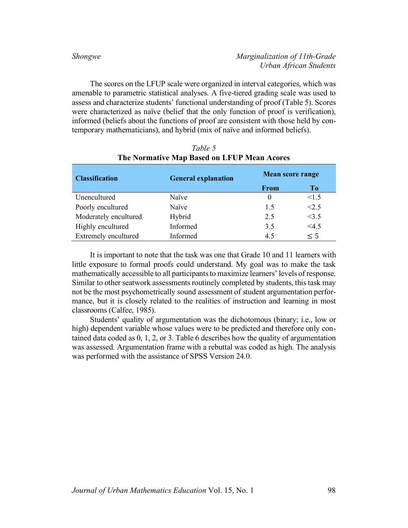The scores on the LFUP scale were organized in interval categories, which was amenable to parametric statistical analyses. A five-tiered grading scale was used to assess and characterize students' functional understanding of proof (Table 5). Scores were characterized as naïve (belief that the only function of proof is verification), informed (beliefs about the functions of proof are consistent with those held by contemporary mathematicians), and hybrid (mix of naïve and informed beliefs).

| <b>Classification</b>       | <b>General explanation</b> | Mean score range |       |  |
|-----------------------------|----------------------------|------------------|-------|--|
|                             |                            | <b>From</b>      | To    |  |
| Unencultured                | Naïve                      | $\theta$         | < 1.5 |  |
| Poorly encultured           | Naïve                      | 15               | < 2.5 |  |
| Moderately encultured       | Hybrid                     | 2.5              | <3.5  |  |
| Highly encultured           | Informed                   | 3.5              | 4.5   |  |
| <b>Extremely encultured</b> | Informed                   | 4.5              | < 5   |  |

# *Table 5* **The Normative Map Based on LFUP Mean Acores**

It is important to note that the task was one that Grade 10 and 11 learners with little exposure to formal proofs could understand. My goal was to make the task mathematically accessible to all participants to maximize learners' levels of response. Similar to other seatwork assessments routinely completed by students, this task may not be the most psychometrically sound assessment of student argumentation performance, but it is closely related to the realities of instruction and learning in most classrooms (Calfee, 1985).

Students' quality of argumentation was the dichotomous (binary; i.e., low or high) dependent variable whose values were to be predicted and therefore only contained data coded as 0, 1, 2, or 3. Table 6 describes how the quality of argumentation was assessed. Argumentation frame with a rebuttal was coded as high. The analysis was performed with the assistance of SPSS Version 24.0.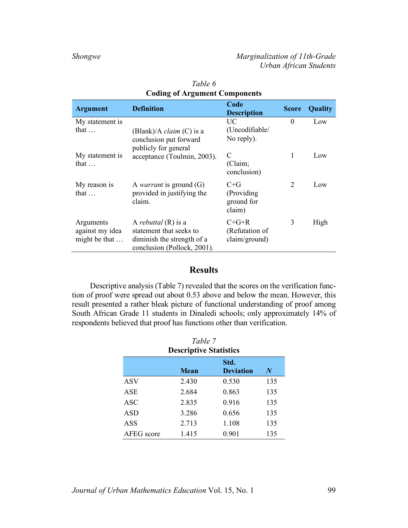| <b>Argument</b>                               | <b>Definition</b>                                                                                             | Code<br><b>Description</b>                     | <b>Score</b>   | Quality |
|-----------------------------------------------|---------------------------------------------------------------------------------------------------------------|------------------------------------------------|----------------|---------|
| My statement is                               |                                                                                                               | UC                                             | $\theta$       | Low     |
| that $\dots$                                  | (Blank)/A <i>claim</i> (C) is a<br>conclusion put forward<br>publicly for general                             | (Uncodifiable/<br>No reply).                   |                |         |
| My statement is<br>that $\dots$               | acceptance (Toulmin, 2003).                                                                                   | C<br>(Claim;<br>conclusion)                    | 1              | Low     |
| My reason is<br>that $\dots$                  | A <i>warrant</i> is ground $(G)$<br>provided in justifying the<br>claim.                                      | $C + G$<br>(Providing)<br>ground for<br>claim) | $\mathfrak{D}$ | Low     |
| Arguments<br>against my idea<br>might be that | A rebuttal $(R)$ is a<br>statement that seeks to<br>diminish the strength of a<br>conclusion (Pollock, 2001). | $C+G+R$<br>(Refutation of<br>claim/ground)     | 3              | High    |

| Table 6                              |
|--------------------------------------|
| <b>Coding of Argument Components</b> |

# **Results**

Descriptive analysis (Table 7) revealed that the scores on the verification function of proof were spread out about 0.53 above and below the mean. However, this result presented a rather bleak picture of functional understanding of proof among South African Grade 11 students in Dinaledi schools; only approximately 14% of respondents believed that proof has functions other than verification.

| Table 7                       |       |                          |          |  |  |
|-------------------------------|-------|--------------------------|----------|--|--|
| <b>Descriptive Statistics</b> |       |                          |          |  |  |
|                               | Mean  | Std.<br><b>Deviation</b> | $\bm{N}$ |  |  |
| <b>ASV</b>                    | 2.430 | 0.530                    | 135      |  |  |
| <b>ASE</b>                    | 2.684 | 0.863                    | 135      |  |  |
| <b>ASC</b>                    | 2.835 | 0.916                    | 135      |  |  |
| <b>ASD</b>                    | 3.286 | 0.656                    | 135      |  |  |
| ASS                           | 2.713 | 1.108                    | 135      |  |  |
| AFEG score                    | 1.415 | 0.901                    | 135      |  |  |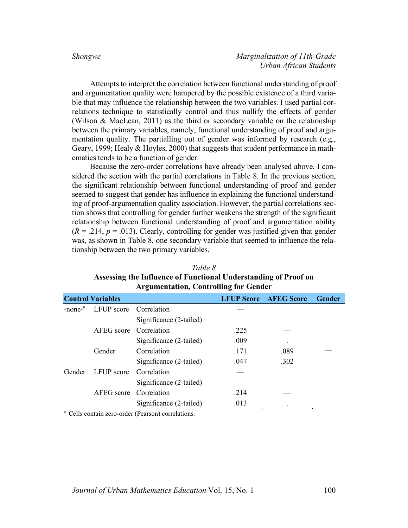Attempts to interpret the correlation between functional understanding of proof and argumentation quality were hampered by the possible existence of a third variable that may influence the relationship between the two variables. I used partial correlations technique to statistically control and thus nullify the effects of gender (Wilson & MacLean, 2011) as the third or secondary variable on the relationship between the primary variables, namely, functional understanding of proof and argumentation quality. The partialling out of gender was informed by research (e.g., Geary, 1999; Healy & Hoyles, 2000) that suggests that student performance in mathematics tends to be a function of gender.

Because the zero-order correlations have already been analysed above, I considered the section with the partial correlations in Table 8. In the previous section, the significant relationship between functional understanding of proof and gender seemed to suggest that gender has influence in explaining the functional understanding of proof-argumentation quality association. However, the partial correlations section shows that controlling for gender further weakens the strength of the significant relationship between functional understanding of proof and argumentation ability  $(R = .214, p = .013)$ . Clearly, controlling for gender was justified given that gender was, as shown in Table 8, one secondary variable that seemed to influence the relationship between the two primary variables.

| Table 8                                                         |
|-----------------------------------------------------------------|
| Assessing the Influence of Functional Understanding of Proof on |
| <b>Argumentation, Controlling for Gender</b>                    |

|                           | <b>Control Variables</b> |                         |      | <b>LFUP Score AFEG Score</b> | Gender |
|---------------------------|--------------------------|-------------------------|------|------------------------------|--------|
| $-$ none $-$ <sup>a</sup> | LFUP score Correlation   |                         |      |                              |        |
|                           |                          | Significance (2-tailed) |      |                              |        |
|                           | AFEG score               | Correlation             | .225 |                              |        |
|                           |                          | Significance (2-tailed) | .009 |                              |        |
|                           | Gender                   | Correlation             | .171 | .089                         |        |
|                           |                          | Significance (2-tailed) | .047 | .302                         |        |
| Gender                    | LFUP score               | Correlation             |      |                              |        |
|                           |                          | Significance (2-tailed) |      |                              |        |
|                           | AFEG score               | Correlation             | .214 |                              |        |
|                           |                          | Significance (2-tailed) | .013 |                              |        |

a. Cells contain zero-order (Pearson) correlations.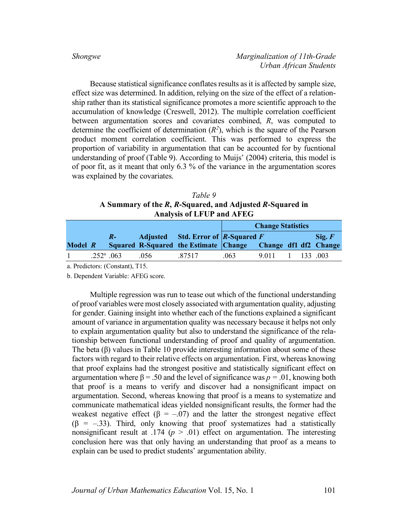Because statistical significance conflates results as it is affected by sample size, effect size was determined. In addition, relying on the size of the effect of a relationship rather than its statistical significance promotes a more scientific approach to the accumulation of knowledge (Creswell, 2012). The multiple correlation coefficient between argumentation scores and covariates combined, *R*, was computed to determine the coefficient of determination  $(R^2)$ , which is the square of the Pearson product moment correlation coefficient. This was performed to express the proportion of variability in argumentation that can be accounted for by fucntional understanding of proof (Table 9). According to Muijs' (2004) criteria, this model is of poor fit, as it meant that only 6.3 % of the variance in the argumentation scores was explained by the covariates.

*Table 9* **A Summary of the** *R***,** *R***-Squared, and Adjusted** *R***-Squared in Analysis of LFUP and AFEG**

|         |                    |           |     |                                                             | <b>Change Statistics</b> |      |  |  |                         |
|---------|--------------------|-----------|-----|-------------------------------------------------------------|--------------------------|------|--|--|-------------------------|
|         |                    | $R_{\pm}$ |     | Adjusted Std. Error of $\vert R\text{-}Square F \vert$      |                          |      |  |  | $\operatorname{Sig.} F$ |
| Model R |                    |           |     | Squared R-Squared the Estimate Change Change df1 df2 Change |                          |      |  |  |                         |
|         | $.252^{\circ}$ 063 |           | 056 | 87517                                                       | .063                     | 9011 |  |  | 133 003                 |

a. Predictors: (Constant), T15.

b. Dependent Variable: AFEG score.

Multiple regression was run to tease out which of the functional understanding of proof variables were most closely associated with argumentation quality, adjusting for gender. Gaining insight into whether each of the functions explained a significant amount of variance in argumentation quality was necessary because it helps not only to explain argumentation quality but also to understand the significance of the relationship between functional understanding of proof and quality of argumentation. The beta (β) values in Table 10 provide interesting information about some of these factors with regard to their relative effects on argumentation. First, whereas knowing that proof explains had the strongest positive and statistically significant effect on argumentation where  $β = .50$  and the level of significance was  $p = .01$ , knowing both that proof is a means to verify and discover had a nonsignificant impact on argumentation. Second, whereas knowing that proof is a means to systematize and communicate mathematical ideas yielded nonsignificant results, the former had the weakest negative effect ( $\beta = -0.07$ ) and the latter the strongest negative effect  $(\beta = -.33)$ . Third, only knowing that proof systematizes had a statistically nonsignificant result at .174 ( $p > .01$ ) effect on argumentation. The interesting conclusion here was that only having an understanding that proof as a means to explain can be used to predict students' argumentation ability.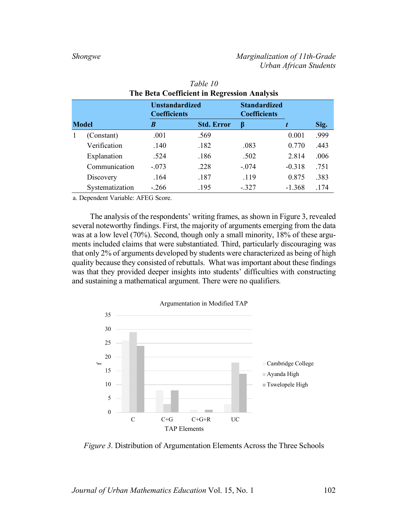|  |                 | <b>Unstandardized</b><br><b>Coefficients</b> |                   | <b>Standardized</b><br><b>Coefficients</b> |          |      |
|--|-----------------|----------------------------------------------|-------------------|--------------------------------------------|----------|------|
|  | <b>Model</b>    | B                                            | <b>Std. Error</b> | ß                                          |          | Sig. |
|  | (Constant)      | .001                                         | .569              |                                            | 0.001    | .999 |
|  | Verification    | .140                                         | .182              | .083                                       | 0.770    | .443 |
|  | Explanation     | .524                                         | .186              | .502                                       | 2.814    | .006 |
|  | Communication   | $-.073$                                      | .228              | $-.074$                                    | $-0.318$ | .751 |
|  | Discovery       | .164                                         | .187              | .119                                       | 0.875    | .383 |
|  | Systematization | $-.266$                                      | .195              | $-.327$                                    | $-1.368$ | .174 |
|  |                 |                                              |                   |                                            |          |      |

| Table 10                                           |  |
|----------------------------------------------------|--|
| <b>The Beta Coefficient in Regression Analysis</b> |  |

a. Dependent Variable: AFEG Score.

The analysis of the respondents' writing frames, as shown in Figure 3, revealed several noteworthy findings. First, the majority of arguments emerging from the data was at a low level (70%). Second, though only a small minority, 18% of these arguments included claims that were substantiated. Third, particularly discouraging was that only 2% of arguments developed by students were characterized as being of high quality because they consisted of rebuttals. What was important about these findings was that they provided deeper insights into students' difficulties with constructing and sustaining a mathematical argument. There were no qualifiers.



*Figure 3*. Distribution of Argumentation Elements Across the Three Schools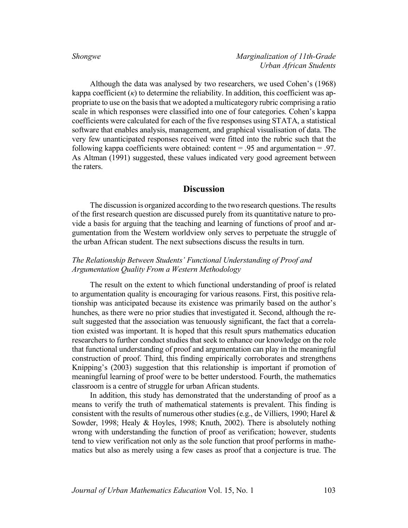Although the data was analysed by two researchers, we used Cohen's (1968) kappa coefficient  $(\kappa)$  to determine the reliability. In addition, this coefficient was appropriate to use on the basis that we adopted a multicategory rubric comprising a ratio scale in which responses were classified into one of four categories. Cohen's kappa coefficients were calculated for each of the five responses using STATA, a statistical software that enables analysis, management, and graphical visualisation of data. The very few unanticipated responses received were fitted into the rubric such that the following kappa coefficients were obtained: content  $= .95$  and argumentation  $= .97$ . As Altman (1991) suggested, these values indicated very good agreement between the raters.

### **Discussion**

The discussion is organized according to the two research questions. The results of the first research question are discussed purely from its quantitative nature to provide a basis for arguing that the teaching and learning of functions of proof and argumentation from the Western worldview only serves to perpetuate the struggle of the urban African student. The next subsections discuss the results in turn.

# *The Relationship Between Students' Functional Understanding of Proof and Argumentation Quality From a Western Methodology*

The result on the extent to which functional understanding of proof is related to argumentation quality is encouraging for various reasons. First, this positive relationship was anticipated because its existence was primarily based on the author's hunches, as there were no prior studies that investigated it. Second, although the result suggested that the association was tenuously significant, the fact that a correlation existed was important. It is hoped that this result spurs mathematics education researchers to further conduct studies that seek to enhance our knowledge on the role that functional understanding of proof and argumentation can play in the meaningful construction of proof. Third, this finding empirically corroborates and strengthens Knipping's (2003) suggestion that this relationship is important if promotion of meaningful learning of proof were to be better understood. Fourth, the mathematics classroom is a centre of struggle for urban African students.

In addition, this study has demonstrated that the understanding of proof as a means to verify the truth of mathematical statements is prevalent. This finding is consistent with the results of numerous other studies (e.g., de Villiers, 1990; Harel  $\&$ Sowder, 1998; Healy & Hoyles, 1998; Knuth, 2002). There is absolutely nothing wrong with understanding the function of proof as verification; however, students tend to view verification not only as the sole function that proof performs in mathematics but also as merely using a few cases as proof that a conjecture is true. The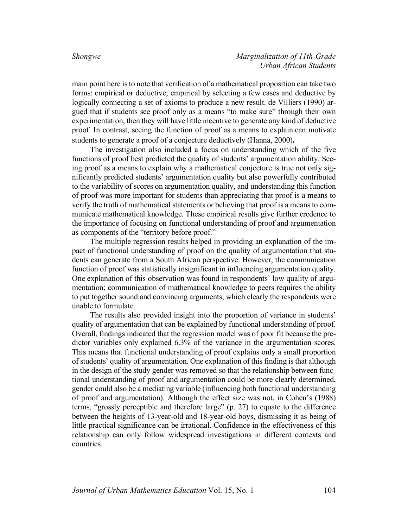main point here is to note that verification of a mathematical proposition can take two forms: empirical or deductive; empirical by selecting a few cases and deductive by logically connecting a set of axioms to produce a new result. de Villiers (1990) argued that if students see proof only as a means "to make sure" through their own experimentation, then they will have little incentive to generate any kind of deductive proof. In contrast, seeing the function of proof as a means to explain can motivate students to generate a proof of a conjecture deductively (Hanna, 2000)**.** 

The investigation also included a focus on understanding which of the five functions of proof best predicted the quality of students' argumentation ability. Seeing proof as a means to explain why a mathematical conjecture is true not only significantly predicted students' argumentation quality but also powerfully contributed to the variability of scores on argumentation quality, and understanding this function of proof was more important for students than appreciating that proof is a means to verify the truth of mathematical statements or believing that proof is a means to communicate mathematical knowledge. These empirical results give further credence to the importance of focusing on functional understanding of proof and argumentation as components of the "territory before proof."

The multiple regression results helped in providing an explanation of the impact of functional understanding of proof on the quality of argumentation that students can generate from a South African perspective. However, the communication function of proof was statistically insignificant in influencing argumentation quality. One explanation of this observation was found in respondents' low quality of argumentation; communication of mathematical knowledge to peers requires the ability to put together sound and convincing arguments, which clearly the respondents were unable to formulate.

The results also provided insight into the proportion of variance in students' quality of argumentation that can be explained by functional understanding of proof. Overall, findings indicated that the regression model was of poor fit because the predictor variables only explained 6.3% of the variance in the argumentation scores. This means that functional understanding of proof explains only a small proportion of students' quality of argumentation. One explanation of this finding is that although in the design of the study gender was removed so that the relationship between functional understanding of proof and argumentation could be more clearly determined, gender could also be a mediating variable (influencing both functional understanding of proof and argumentation). Although the effect size was not, in Cohen's (1988) terms, "grossly perceptible and therefore large" (p. 27) to equate to the difference between the heights of 13-year-old and 18-year-old boys, dismissing it as being of little practical significance can be irrational. Confidence in the effectiveness of this relationship can only follow widespread investigations in different contexts and countries.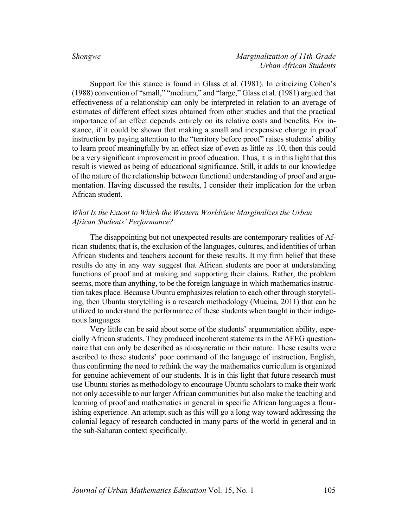Support for this stance is found in Glass et al. (1981). In criticizing Cohen's (1988) convention of "small," "medium," and "large," Glass et al. (1981) argued that effectiveness of a relationship can only be interpreted in relation to an average of estimates of different effect sizes obtained from other studies and that the practical importance of an effect depends entirely on its relative costs and benefits. For instance, if it could be shown that making a small and inexpensive change in proof instruction by paying attention to the "territory before proof" raises students' ability to learn proof meaningfully by an effect size of even as little as .10, then this could be a very significant improvement in proof education. Thus, it is in this light that this result is viewed as being of educational significance. Still, it adds to our knowledge of the nature of the relationship between functional understanding of proof and argumentation. Having discussed the results, I consider their implication for the urban African student.

# *What Is the Extent to Which the Western Worldview Marginalizes the Urban African Students' Performance?*

The disappointing but not unexpected results are contemporary realities of African students; that is, the exclusion of the languages, cultures, and identities of urban African students and teachers account for these results. It my firm belief that these results do any in any way suggest that African students are poor at understanding functions of proof and at making and supporting their claims. Rather, the problem seems, more than anything, to be the foreign language in which mathematics instruction takes place. Because Ubuntu emphasizes relation to each other through storytelling, then Ubuntu storytelling is a research methodology (Mucina, 2011) that can be utilized to understand the performance of these students when taught in their indigenous languages.

Very little can be said about some of the students' argumentation ability, especially African students. They produced incoherent statements in the AFEG questionnaire that can only be described as idiosyncratic in their nature. These results were ascribed to these students' poor command of the language of instruction, English, thus confirming the need to rethink the way the mathematics curriculum is organized for genuine achievement of our students. It is in this light that future research must use Ubuntu stories as methodology to encourage Ubuntu scholars to make their work not only accessible to our larger African communities but also make the teaching and learning of proof and mathematics in general in specific African languages a flourishing experience. An attempt such as this will go a long way toward addressing the colonial legacy of research conducted in many parts of the world in general and in the sub-Saharan context specifically.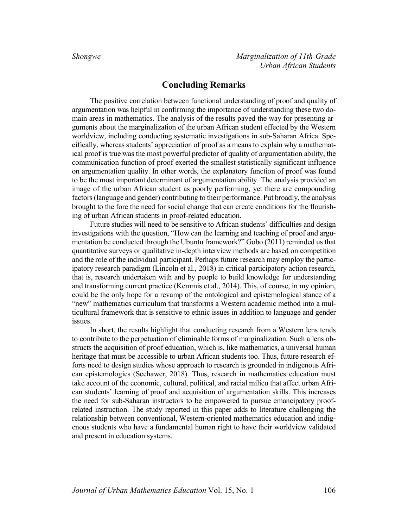# **Concluding Remarks**

The positive correlation between functional understanding of proof and quality of argumentation was helpful in confirming the importance of understanding these two domain areas in mathematics. The analysis of the results paved the way for presenting arguments about the marginalization of the urban African student effected by the Western worldview, including conducting systematic investigations in sub-Saharan Africa. Specifically, whereas students' appreciation of proof as a means to explain why a mathematical proof is true was the most powerful predictor of quality of argumentation ability, the communication function of proof exerted the smallest statistically significant influence on argumentation quality. In other words, the explanatory function of proof was found to be the most important determinant of argumentation ability. The analysis provided an image of the urban African student as poorly performing, yet there are compounding factors (language and gender) contributing to their performance. Put broadly, the analysis brought to the fore the need for social change that can create conditions for the flourishing of urban African students in proof-related education.

Future studies will need to be sensitive to African students' difficulties and design investigations with the question, "How can the learning and teaching of proof and argumentation be conducted through the Ubuntu framework?" Gobo (2011) reminded us that quantitative surveys or qualitative in-depth interview methods are based on competition and the role of the individual participant. Perhaps future research may employ the participatory research paradigm (Lincoln et al., 2018) in critical participatory action research, that is, research undertaken with and by people to build knowledge for understanding and transforming current practice (Kemmis et al., 2014). This, of course, in my opinion, could be the only hope for a revamp of the ontological and epistemological stance of a "new" mathematics curriculum that transforms a Western academic method into a multicultural framework that is sensitive to ethnic issues in addition to language and gender issues.

In short, the results highlight that conducting research from a Western lens tends to contribute to the perpetuation of eliminable forms of marginalization. Such a lens obstructs the acquisition of proof education, which is, like mathematics, a universal human heritage that must be accessible to urban African students too. Thus, future research efforts need to design studies whose approach to research is grounded in indigenous African epistemologies (Seehawer, 2018). Thus, research in mathematics education must take account of the economic, cultural, political, and racial milieu that affect urban African students' learning of proof and acquisition of argumentation skills. This increases the need for sub-Saharan instructors to be empowered to pursue emancipatory proofrelated instruction. The study reported in this paper adds to literature challenging the relationship between conventional, Western-oriented mathematics education and indigenous students who have a fundamental human right to have their worldview validated and present in education systems.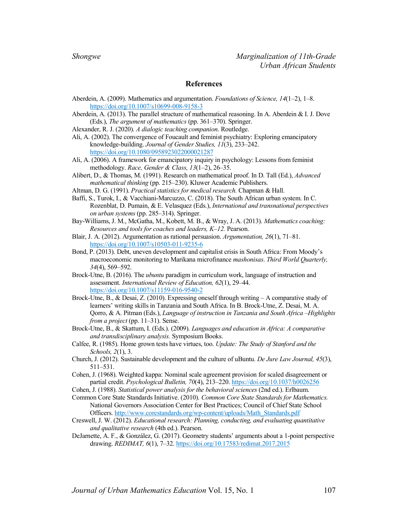### **References**

- Aberdein, A. (2009). Mathematics and argumentation. *Foundations of Science, 14*(1–2), 1–8. https://doi.org/10.1007/s10699-008-9158-3
- Aberdein, A. (2013). The parallel structure of mathematical reasoning. In A. Aberdein & I. J. Dove (Eds.), *The argument of mathematics* (pp. 361–370). Springer.
- Alexander, R. J. (2020). *A dialogic teaching companion*. Routledge.
- Ali, A. (2002). The convergence of Foucault and feminist psychiatry: Exploring emancipatory knowledge-building. *Journal of Gender Studies, 11*(3), 233–242. https://doi.org/10.1080/0958923022000021287
- Ali, A. (2006). A framework for emancipatory inquiry in psychology: Lessons from feminist methodology. *Race, Gender & Class, 13*(1–2), 26–35.
- Alibert, D., & Thomas, M. (1991). Research on mathematical proof. In D. Tall (Ed.), *Advanced mathematical thinking* (pp. 215–230). Kluwer Academic Publishers.
- Altman, D. G. (1991). *Practical statistics for medical research.* Chapman & Hall.
- Baffi, S., Turok, I., & Vacchiani-Marcuzzo, C. (2018). The South African urban system. In C. Rozenblat, D. Pumain, & E. Velasquez (Eds.), *International and transnational perspectives on urban systems* (pp. 285–314). Springer.
- Bay-Williams, J. M., McGatha, M., Kobett, M. B., & Wray, J. A. (2013). *Mathematics coaching: Resources and tools for coaches and leaders, K–12.* Pearson.
- Blair, J. A. (2012). Argumentation as rational persuasion. *Argumentation, 26*(1), 71–81. https://doi.org/10.1007/s10503-011-9235-6
- Bond, P. (2013). Debt, uneven development and capitalist crisis in South Africa: From Moody's macroeconomic monitoring to Marikana microfinance *mashonisas*. *Third World Quarterly, 34*(4), 569–592.
- Brock-Utne, B. (2016). The *ubuntu* paradigm in curriculum work, language of instruction and assessment. *International Review of Education, 62*(1), 29–44. https://doi.org/10.1007/s11159-016-9540-2
- Brock-Utne, B., & Desai, Z. (2010). Expressing oneself through writing A comparative study of learners' writing skills in Tanzania and South Africa. In B. Brock-Utne, Z. Desai, M. A. Qorro, & A. Pitman (Eds.), *Language of instruction in Tanzania and South Africa –Highlights from a project* (pp. 11–31). Sense.
- Brock-Utne, B., & Skattum, I. (Eds.). (2009). *Languages and education in Africa: A comparative and transdisciplinary analysis.* Symposium Books.
- Calfee, R. (1985). Home grown tests have virtues, too. *Update: The Study of Stanford and the Schools, 2*(1), 3.
- Church, J. (2012). Sustainable development and the culture of uBuntu. *De Jure Law Journal, 45*(3), 511–531.
- Cohen, J. (1968). Weighted kappa: Nominal scale agreement provision for scaled disagreement or partial credit. *Psychological Bulletin, 70*(4), 213–220. https://doi.org/10.1037/h0026256
- Cohen, J. (1988). *Statistical power analysis for the behavioral sciences* (2nd ed.). Erlbaum.
- Common Core State Standards Initiative. (2010). *Common Core State Standards for Mathematics.* National Governors Association Center for Best Practices; Council of Chief State School Officers. http://www.corestandards.org/wp-content/uploads/Math\_Standards.pdf
- Creswell, J. W. (2012). *Educational research: Planning, conducting, and evaluating quantitative and qualitative research* (4th ed.). Pearson.
- DeJarnette, A. F., & González, G. (2017). Geometry students' arguments about a 1-point perspective drawing. *REDIMAT, 6*(1), 7–32. https://doi.org/10.17583/redimat.2017.2015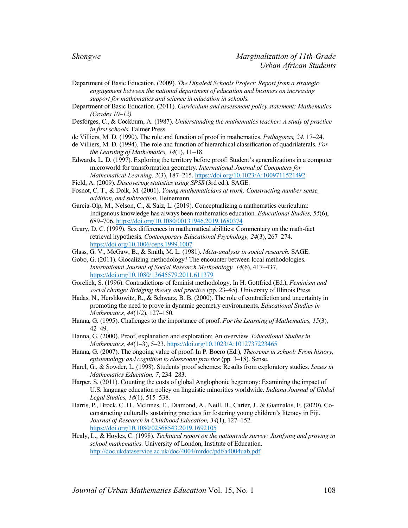- Department of Basic Education. (2009). *The Dinaledi Schools Project: Report from a strategic engagement between the national department of education and business on increasing support for mathematics and science in education in schools.*
- Department of Basic Education. (2011). *Curriculum and assessment policy statement: Mathematics (Grades 10–12).*
- Desforges, C., & Cockburn, A. (1987). *Understanding the mathematics teacher: A study of practice in first schools.* Falmer Press.
- de Villiers, M. D. (1990). The role and function of proof in mathematics. *Pythagoras, 24*, 17–24.
- de Villiers, M. D. (1994). The role and function of hierarchical classification of quadrilaterals. *For the Learning of Mathematics, 14*(1), 11–18.
- Edwards, L. D. (1997). Exploring the territory before proof: Student's generalizations in a computer microworld for transformation geometry. *International Journal of Computers for Mathematical Learning, 2*(3), 187–215. https://doi.org/10.1023/A:1009711521492
- Field, A. (2009). *Discovering statistics using SPSS* (3rd ed.)*.* SAGE.
- Fosnot, C. T., & Dolk, M. (2001). *Young mathematicians at work: Constructing number sense, addition, and subtraction.* Heinemann.
- Garcia-Olp, M., Nelson, C., & Saiz, L. (2019). Conceptualizing a mathematics curriculum: Indigenous knowledge has always been mathematics education. *Educational Studies, 55*(6), 689–706. https://doi.org/10.1080/00131946.2019.1680374
- Geary, D. C. (1999). Sex differences in mathematical abilities: Commentary on the math-fact retrieval hypothesis. *Contemporary Educational Psychology, 24*(3), 267–274. https://doi.org/10.1006/ceps.1999.1007
- Glass, G. V., McGaw, B., & Smith, M. L. (1981). *Meta-analysis in social research.* SAGE.
- Gobo, G. (2011). Glocalizing methodology? The encounter between local methodologies. *International Journal of Social Research Methodology, 14*(6), 417–437. https://doi.org/10.1080/13645579.2011.611379
- Gorelick, S. (1996). Contradictions of feminist methodology. In H. Gottfried (Ed.), *Feminism and social change: Bridging theory and practice* (pp. 23–45). University of Illinois Press.
- Hadas, N., Hershkowitz, R., & Schwarz, B. B. (2000). The role of contradiction and uncertainty in promoting the need to prove in dynamic geometry environments. *Educational Studies in Mathematics, 44*(1/2), 127–150.
- Hanna, G. (1995). Challenges to the importance of proof. *For the Learning of Mathematics, 15*(3), 42–49.
- Hanna, G. (2000). Proof, explanation and exploration: An overview. *Educational Studies in Mathematics, 44*(1–3), 5–23. https://doi.org/10.1023/A:1012737223465
- Hanna, G. (2007). The ongoing value of proof. In P. Boero (Ed.), *Theorems in school: From history, epistemology and cognition to classroom practice* (pp. 3–18). Sense.
- Harel, G., & Sowder, L. (1998). Students' proof schemes: Results from exploratory studies. *Issues in Mathematics Education, 7*, 234–283.
- Harper, S. (2011). Counting the costs of global Anglophonic hegemony: Examining the impact of U.S. language education policy on linguistic minorities worldwide. *Indiana Journal of Global Legal Studies, 18*(1), 515–538.
- Harris, P., Brock, C. H., McInnes, E., Diamond, A., Neill, B., Carter, J., & Giannakis, E. (2020). Coconstructing culturally sustaining practices for fostering young children's literacy in Fiji. *Journal of Research in Childhood Education, 34*(1), 127–152. https://doi.org/10.1080/02568543.2019.1692105
- Healy, L., & Hoyles, C. (1998). *Technical report on the nationwide survey: Justifying and proving in school mathematics.* University of London, Institute of Education. http://doc.ukdataservice.ac.uk/doc/4004/mrdoc/pdf/a4004uab.pdf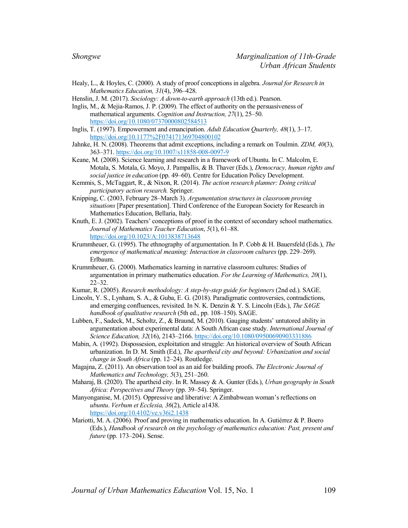- Healy, L., & Hoyles, C. (2000). A study of proof conceptions in algebra. *Journal for Research in Mathematics Education, 31*(4), 396–428.
- Henslin, J. M. (2017). *Sociology: A down-to-earth approach* (13th ed.). Pearson.
- Inglis, M., & Mejia-Ramos, J. P. (2009). The effect of authority on the persuasiveness of mathematical arguments. *Cognition and Instruction, 27*(1), 25–50. https://doi.org/10.1080/07370000802584513
- Inglis, T. (1997). Empowerment and emancipation. *Adult Education Quarterly, 48*(1), 3–17. https://doi.org/10.1177%2F074171369704800102
- Jahnke, H. N. (2008). Theorems that admit exceptions, including a remark on Toulmin. *ZDM, 40*(3), 363–371. https://doi.org/10.1007/s11858-008-0097-9
- Keane, M. (2008). Science learning and research in a framework of Ubuntu. In C. Malcolm, E. Motala, S. Motala, G. Moyo, J. Pampallis, & B. Thaver (Eds.), *Democracy, human rights and social justice in education* (pp. 49–60). Centre for Education Policy Development.
- Kemmis, S., McTaggart, R., & Nixon, R. (2014). *The action research planner: Doing critical participatory action research.* Springer.
- Knipping, C. (2003, February 28–March 3). *Argumentation structures in classroom proving situations* [Paper presentation]. Third Conference of the European Society for Research in Mathematics Education, Bellaria, Italy*.*
- Knuth, E. J. (2002). Teachers' conceptions of proof in the context of secondary school mathematics. *Journal of Mathematics Teacher Education*, *5*(1), 61–88. https://doi.org/10.1023/A:1013838713648
- Krummheuer, G. (1995). The ethnography of argumentation. In P. Cobb & H. Bauersfeld (Eds.), *The emergence of mathematical meaning: Interaction in classroom cultures* (pp. 229–269). Erlbaum.
- Krummheuer, G. (2000). Mathematics learning in narrative classroom cultures: Studies of argumentation in primary mathematics education. *For the Learning of Mathematics, 20*(1), 22–32.
- Kumar, R. (2005). *Research methodology: A step-by-step guide for beginners* (2nd ed.). SAGE.
- Lincoln, Y. S., Lynham, S. A., & Guba, E. G. (2018). Paradigmatic controversies, contradictions, and emerging confluences, revisited. In N. K. Denzin & Y. S. Lincoln (Eds.), *The SAGE handbook of qualitative research* (5th ed., pp. 108–150). SAGE.
- Lubben, F., Sadeck, M., Scholtz, Z., & Braund, M. (2010). Gauging students' untutored ability in argumentation about experimental data: A South African case study. *International Journal of Science Education, 32*(16), 2143–2166. https://doi.org/10.1080/09500690903331886
- Mabin, A. (1992). Dispossesion, exploitation and struggle: An historical overview of South African urbanization. In D. M. Smith (Ed.), *The apartheid city and beyond: Urbanization and social change in South Africa* (pp. 12–24). Routledge.
- Magajna, Z. (2011). An observation tool as an aid for building proofs. *The Electronic Journal of Mathematics and Technology, 5*(3), 251–260.
- Maharaj, B. (2020). The apartheid city. In R. Massey & A. Gunter (Eds.), *Urban geography in South Africa: Perspectives and Theory* (pp. 39–54). Springer.
- Manyonganise, M. (2015). Oppressive and liberative: A Zimbabwean woman's reflections on *ubuntu*. *Verbum et Ecclesia, 36*(2), Article a1438. https://doi.org/10.4102/ve.v36i2.1438
- Mariotti, M. A. (2006). Proof and proving in mathematics education. In A. Gutiérrez & P. Boero (Eds.), *Handbook of research on the psychology of mathematics education: Past, present and future* (pp. 173–204). Sense.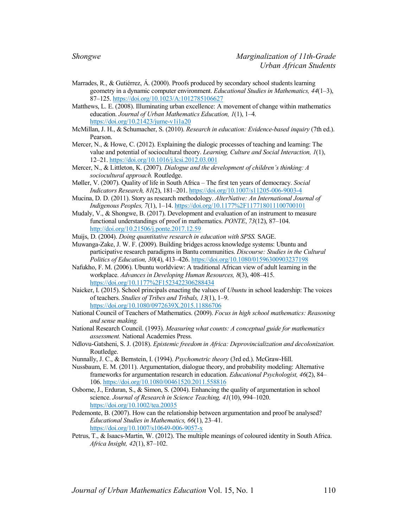- Marrades, R., & Gutiérrez, Á. (2000). Proofs produced by secondary school students learning geometry in a dynamic computer environment. *Educational Studies in Mathematics, 44*(1–3), 87–125. https://doi.org/10.1023/A:1012785106627
- Matthews, L. E. (2008). Illuminating urban excellence: A movement of change within mathematics education. *Journal of Urban Mathematics Education, 1*(1), 1–4. https://doi.org/10.21423/jume-v1i1a20
- McMillan, J. H., & Schumacher, S. (2010). *Research in education: Evidence-based inquiry* (7th ed.). Pearson.
- Mercer, N., & Howe, C. (2012). Explaining the dialogic processes of teaching and learning: The value and potential of sociocultural theory. *Learning, Culture and Social Interaction, 1*(1), 12–21. https://doi.org/10.1016/j.lcsi.2012.03.001
- Mercer, N., & Littleton, K. (2007). *Dialogue and the development of children's thinking: A sociocultural approach.* Routledge.
- Møller, V. (2007). Quality of life in South Africa The first ten years of democracy. *Social Indicators Research, 81*(2), 181–201. https://doi.org/10.1007/s11205-006-9003-4
- Mucina, D. D. (2011). Story as research methodology. *AlterNative: An International Journal of Indigenous Peoples, 7*(1), 1–14. https://doi.org/10.1177%2F117718011100700101
- Mudaly, V., & Shongwe, B. (2017). Development and evaluation of an instrument to measure functional understandings of proof in mathematics. *PONTE*, *73*(12), 87–104. http://doi.org/10.21506/j.ponte.2017.12.59

Muijs, D. (2004). *Doing quantitative research in education with SPSS.* SAGE.

- Muwanga-Zake, J. W. F. (2009). Building bridges across knowledge systems: Ubuntu and participative research paradigms in Bantu communities. *Discourse: Studies in the Cultural Politics of Education, 30*(4), 413–426. https://doi.org/10.1080/01596300903237198
- Nafukho, F. M. (2006). Ubuntu worldview: A traditional African view of adult learning in the workplace. *Advances in Developing Human Resources, 8*(3), 408–415. https://doi.org/10.1177%2F1523422306288434
- Naicker, I. (2015). School principals enacting the values of *Ubuntu* in school leadership: The voices of teachers. *Studies of Tribes and Tribals, 13*(1), 1–9. https://doi.org/10.1080/0972639X.2015.11886706
- National Council of Teachers of Mathematics. (2009). *Focus in high school mathematics: Reasoning and sense making.*
- National Research Council. (1993). *Measuring what counts: A conceptual guide for mathematics assessment.* National Academies Press.
- Ndlovu-Gatsheni, S. J. (2018). *Epistemic freedom in Africa: Deprovincialization and decolonization.* Routledge.

Nunnally, J. C., & Bernstein, I. (1994). *Psychometric theory* (3rd ed.). McGraw-Hill.

- Nussbaum, E. M. (2011). Argumentation, dialogue theory, and probability modeling: Alternative frameworks for argumentation research in education. *Educational Psychologist, 46*(2), 84– 106. https://doi.org/10.1080/00461520.2011.558816
- Osborne, J., Erduran, S., & Simon, S. (2004). Enhancing the quality of argumentation in school science. *Journal of Research in Science Teaching, 41*(10), 994–1020. https://doi.org/10.1002/tea.20035
- Pedemonte, B. (2007). How can the relationship between argumentation and proof be analysed? *Educational Studies in Mathematics, 66*(1), 23–41. https://doi.org/10.1007/s10649-006-9057-x
- Petrus, T., & Isaacs-Martin, W. (2012). The multiple meanings of coloured identity in South Africa. *Africa Insight, 42*(1), 87–102.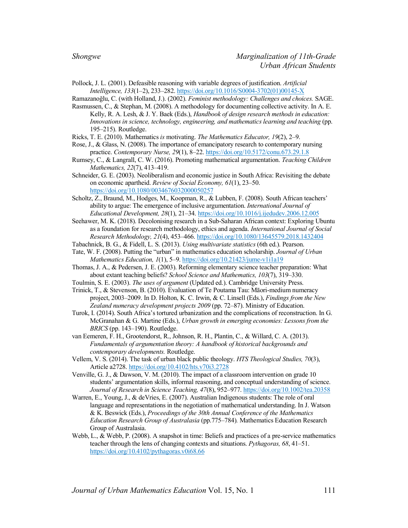Pollock, J. L. (2001). Defeasible reasoning with variable degrees of justification. *Artificial Intelligence, 133*(1–2), 233–282. https://doi.org/10.1016/S0004-3702(01)00145-X

Ramazanoğlu, C. (with Holland, J.). (2002). *Feminist methodology: Challenges and choices.* SAGE.

Rasmussen, C., & Stephan, M. (2008). A methodology for documenting collective activity. In A. E. Kelly, R. A. Lesh, & J. Y. Baek (Eds.), *Handbook of design research methods in education: Innovations in science, technology, engineering, and mathematics learning and teaching* (pp. 195–215). Routledge.

- Ricks, T. E. (2010). Mathematics *is* motivating. *The Mathematics Educator, 19*(2), 2–9.
- Rose, J., & Glass, N. (2008). The importance of emancipatory research to contemporary nursing practice. *Contemporary Nurse, 29*(1), 8–22. https://doi.org/10.5172/conu.673.29.1.8
- Rumsey, C., & Langrall, C. W. (2016). Promoting mathematical argumentation. *Teaching Children Mathematics, 22*(7), 413–419.
- Schneider, G. E. (2003). Neoliberalism and economic justice in South Africa: Revisiting the debate on economic apartheid. *Review of Social Economy, 61*(1), 23–50. https://doi.org/10.1080/0034676032000050257
- Scholtz, Z., Braund, M., Hodges, M., Koopman, R., & Lubben, F. (2008). South African teachers' ability to argue: The emergence of inclusive argumentation. *International Journal of Educational Development, 28*(1), 21–34. https://doi.org/10.1016/j.ijedudev.2006.12.005
- Seehawer, M. K. (2018). Decolonising research in a Sub-Saharan African context: Exploring Ubuntu as a foundation for research methodology, ethics and agenda. *International Journal of Social Research Methodology, 21*(4), 453–466. https://doi.org/10.1080/13645579.2018.1432404
- Tabachnick, B. G., & Fidell, L. S. (2013). *Using multivariate statistics* (6th ed.). Pearson.
- Tate, W. F. (2008). Putting the "urban" in mathematics education scholarship. *Journal of Urban Mathematics Education, 1*(1), 5–9. https://doi.org/10.21423/jume-v1i1a19
- Thomas, J. A., & Pedersen, J. E. (2003). Reforming elementary science teacher preparation: What about extant teaching beliefs? *School Science and Mathematics, 103*(7), 319–330.
- Toulmin, S. E. (2003). *The uses of argument* (Updated ed.). Cambridge University Press.
- Trinick, T., & Stevenson, B. (2010). Evaluation of Te Poutama Tau: Māori-medium numeracy project, 2003–2009. In D. Holton, K. C. Irwin, & C. Linsell (Eds.), *Findings from the New Zealand numeracy development projects 2009* (pp. 72–87). Ministry of Education.
- Turok, I. (2014). South Africa's tortured urbanization and the complications of reconstruction. In G. McGranahan & G. Martine (Eds.), *Urban growth in emerging economies: Lessons from the BRICS* (pp. 143–190). Routledge.
- van Eemeren, F. H., Grootendorst, R., Johnson, R. H., Plantin, C., & Willard, C. A. (2013). *Fundamentals of argumentation theory: A handbook of historical backgrounds and contemporary developments.* Routledge.
- Vellem, V. S. (2014). The task of urban black public theology. *HTS Theological Studies, 70*(3), Article a2728. https://doi.org/10.4102/hts.v70i3.2728
- Venville, G. J., & Dawson, V. M. (2010). The impact of a classroom intervention on grade 10 students' argumentation skills, informal reasoning, and conceptual understanding of science. *Journal of Research in Science Teaching, 47*(8), 952–977. https://doi.org/10.1002/tea.20358
- Warren, E., Young, J., & deVries, E. (2007). Australian Indigenous students: The role of oral language and representations in the negotiation of mathematical understanding. In J. Watson & K. Beswick (Eds.), *Proceedings of the 30th Annual Conference of the Mathematics Education Research Group of Australasia* (pp.775–784)*.* Mathematics Education Research Group of Australasia.
- Webb, L., & Webb, P. (2008). A snapshot in time: Beliefs and practices of a pre-service mathematics teacher through the lens of changing contexts and situations. *Pythagoras, 68*, 41–51. https://doi.org/10.4102/pythagoras.v0i68.66